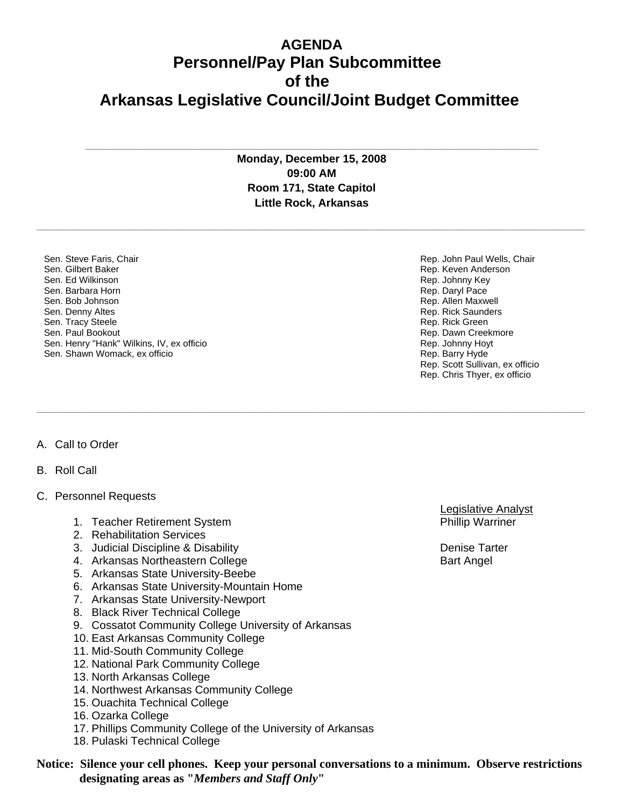## **AGENDA Personnel/Pay Plan Subcommittee of the Arkansas Legislative Council/Joint Budget Committee**

**Monday, December 15, 2008 09:00 AM Room 171, State Capitol Little Rock, Arkansas**

**\_\_\_\_\_\_\_\_\_\_\_\_\_\_\_\_\_\_\_\_\_\_\_\_\_\_\_\_\_\_\_\_\_\_\_\_\_\_\_\_\_\_\_\_\_\_\_\_\_\_\_\_\_\_\_\_\_\_\_\_\_\_\_\_\_\_\_\_\_\_\_\_\_\_\_\_\_\_\_\_\_\_\_\_\_\_\_\_\_\_\_\_\_\_\_\_\_\_\_\_\_\_\_\_\_\_\_\_\_\_\_\_\_\_\_\_\_\_\_\_\_** 

**\_\_\_\_\_\_\_\_\_\_\_\_\_\_\_\_\_\_\_\_\_\_\_\_\_\_\_\_\_\_\_\_\_\_\_\_\_\_\_\_\_\_\_\_\_\_\_\_\_\_\_\_\_\_\_\_\_\_\_\_\_\_\_\_\_\_\_\_\_\_\_\_\_\_\_\_\_\_\_\_\_\_\_\_\_\_\_\_\_\_\_\_\_\_\_\_\_\_\_\_\_\_\_\_\_\_\_\_\_\_\_\_\_\_\_\_\_\_\_\_\_** 

**\_\_\_\_\_\_\_\_\_\_\_\_\_\_\_\_\_\_\_\_\_\_\_\_\_\_\_\_\_\_\_\_\_\_\_\_\_\_\_\_\_\_\_\_\_\_\_\_\_\_\_\_\_\_\_\_\_\_\_\_\_\_\_\_\_\_\_\_\_\_\_\_\_\_\_\_\_\_\_\_\_\_\_\_\_\_\_\_\_\_\_\_\_\_\_\_\_\_\_\_**

Sen. Steve Faris, Chair Sen. Gilbert Baker Sen. Ed Wilkinson Sen. Barbara Horn Sen. Bob Johnson Sen. Denny Altes Sen. Tracy Steele Sen. Paul Bookout Sen. Henry "Hank" Wilkins, IV, ex officio Sen. Shawn Womack, ex officio

Rep. Keven Anderson Rep. Johnny Key Rep. Daryl Pace Rep. Allen Maxwell Rep. Rick Saunders Rep. Rick Green Rep. Dawn Creekmore Rep. Johnny Hoyt Rep. Barry Hyde Rep. Scott Sullivan, ex officio Rep. Chris Thyer, ex officio

Rep. John Paul Wells, Chair

## A. Call to Order

- B. Roll Call
- C. Personnel Requests
	- 1. Teacher Retirement System **Phillip Warring Community** Phillip Warriner
	- 2. Rehabilitation Services
	- 3. Judicial Discipline & Disability Denise Tarter
	- 4. Arkansas Northeastern College Bart Angel Bart Angel
	- 5. Arkansas State University-Beebe
	- 6. Arkansas State University-Mountain Home
	- 7. Arkansas State University-Newport
	- 8. Black River Technical College
	- 9. Cossatot Community College University of Arkansas
	- 10. East Arkansas Community College
	- 11. Mid-South Community College
	- 12. National Park Community College
	- 13. North Arkansas College
	- 14. Northwest Arkansas Community College
	- 15. Ouachita Technical College
	- 16. Ozarka College
	- 17. Phillips Community College of the University of Arkansas
	- 18. Pulaski Technical College

**Notice: Silence your cell phones. Keep your personal conversations to a minimum. Observe restrictions designating areas as "***Members and Staff Only***"**

Legislative Analyst